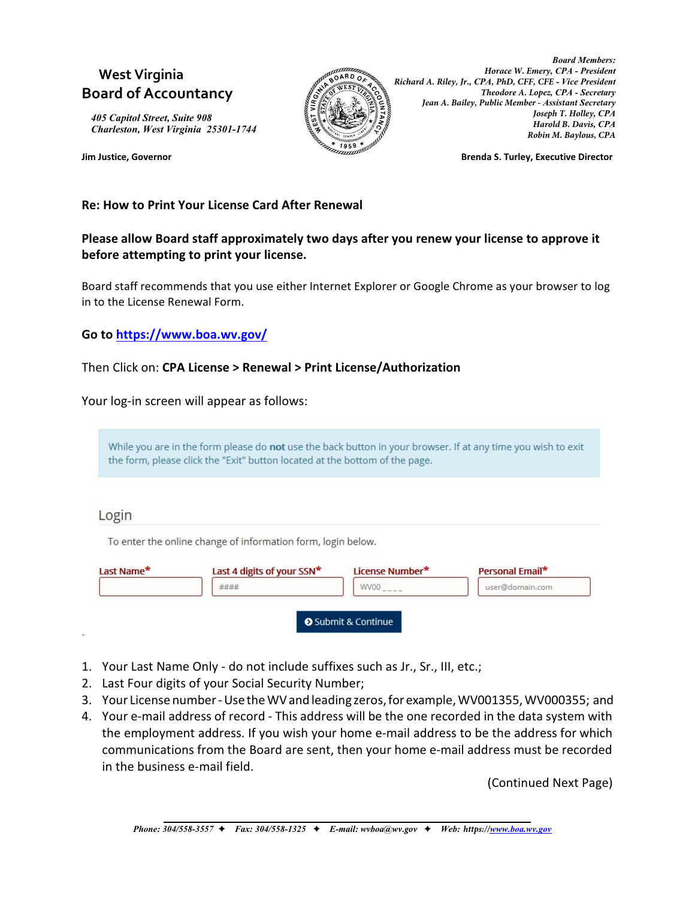# **West Virginia Board of Accountancy**

*405 Capitol Street, Suite 908 Charleston, West Virginia 25301-1744*



*Board Members: Horace W. Emery, CPA - President Richard A. Riley, Jr., CPA, PhD, CFF, CFE - Vice President Theodore A. Lopez, CPA - Secretary Jean A. Bailey, Public Member - Assistant Secretary Joseph T. Holley, CPA Harold B. Davis, CPA Robin M. Baylous, CPA*

**Jim Justice, Governor Brenda S. Turley, Executive Director**

#### **Re: How to Print Your License Card After Renewal**

## **Please allow Board staff approximately two days after you renew your license to approve it before attempting to print your license.**

Board staff recommends that you use either Internet Explorer or Google Chrome as your browser to log in to the License Renewal Form.

**Go to<https://www.boa.wv.gov/>** 

#### Then Click on: **CPA License > Renewal > Print License/Authorization**

Your log-in screen will appear as follows:

While you are in the form please do not use the back button in your browser. If at any time you wish to exit the form, please click the "Exit" button located at the bottom of the page.

## Login

To enter the online change of information form, login below.

- 1. Your Last Name Only do not include suffixes such as Jr., Sr., III, etc.;
- 2. Last Four digits of your Social Security Number;
- 3. Your License number Use the WV and leading zeros, for example, WV001355, WV000355; and
- 4. Your e-mail address of record This address will be the one recorded in the data system with the employment address. If you wish your home e-mail address to be the address for which communications from the Board are sent, then your home e-mail address must be recorded in the business e-mail field.

(Continued Next Page)